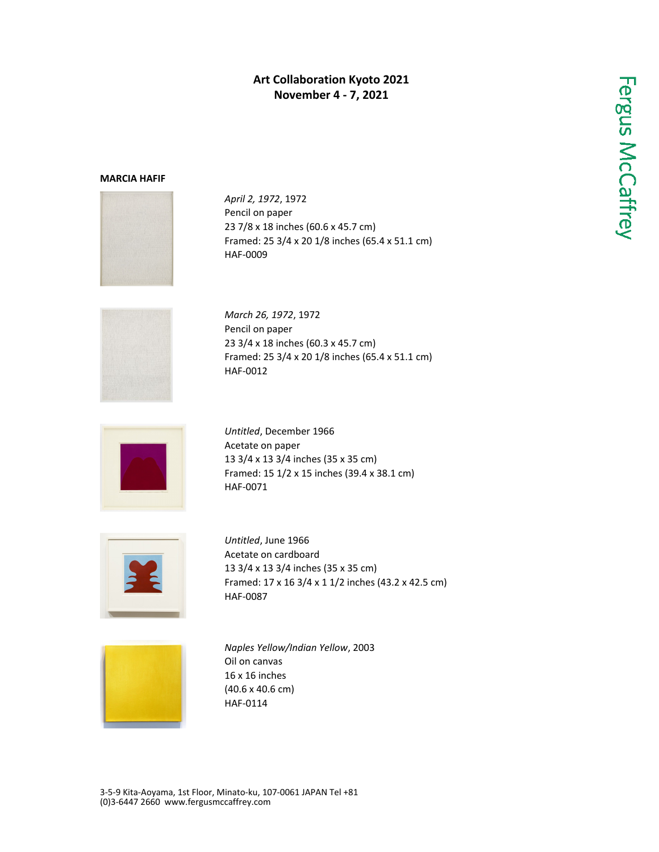## **Art Collaboration Kyoto 2021 November 4 - 7, 2021**

## **MARCIA HAFIF**



*April 2, 1972*, 1972 Pencil on paper 23 7/8 x 18 inches (60.6 x 45.7 cm) Framed: 25 3/4 x 20 1/8 inches (65.4 x 51.1 cm) HAF-0009



*March 26, 1972*, 1972 Pencil on paper 23 3/4 x 18 inches (60.3 x 45.7 cm) Framed: 25 3/4 x 20 1/8 inches (65.4 x 51.1 cm) HAF-0012



*Untitled*, December 1966 Acetate on paper 13 3/4 x 13 3/4 inches (35 x 35 cm) Framed: 15 1/2 x 15 inches (39.4 x 38.1 cm) HAF-0071



*Untitled*, June 1966 Acetate on cardboard 13 3/4 x 13 3/4 inches (35 x 35 cm) Framed: 17 x 16 3/4 x 1 1/2 inches (43.2 x 42.5 cm) HAF-0087



*Naples Yellow/Indian Yellow*, 2003 Oil on canvas 16 x 16 inches (40.6 x 40.6 cm) HAF-0114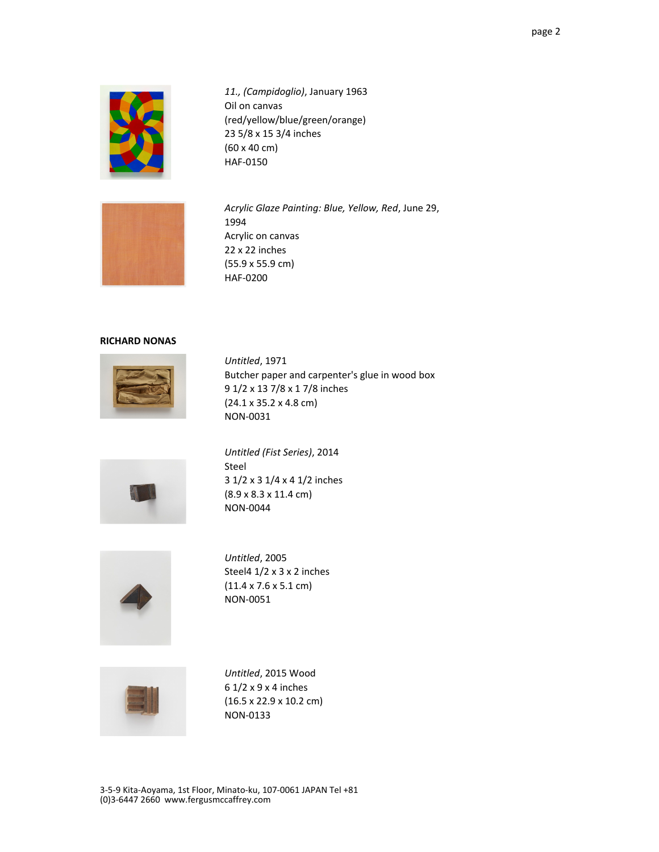

*11., (Campidoglio)*, January 1963 Oil on canvas (red/yellow/blue/green/orange) 23 5/8 x 15 3/4 inches (60 x 40 cm) HAF-0150



*Acrylic Glaze Painting: Blue, Yellow, Red*, June 29, 1994 Acrylic on canvas 22 x 22 inches (55.9 x 55.9 cm) HAF-0200

## **RICHARD NONAS**



*Untitled*, 1971 Butcher paper and carpenter's glue in wood box 9 1/2 x 13 7/8 x 1 7/8 inches (24.1 x 35.2 x 4.8 cm) NON-0031



*Untitled (Fist Series)*, 2014 Steel 3 1/2 x 3 1/4 x 4 1/2 inches (8.9 x 8.3 x 11.4 cm) NON-0044



*Untitled*, 2005 Steel4 1/2 x 3 x 2 inches (11.4 x 7.6 x 5.1 cm) NON-0051



*Untitled*, 2015 Wood 6 1/2 x 9 x 4 inches (16.5 x 22.9 x 10.2 cm) NON-0133